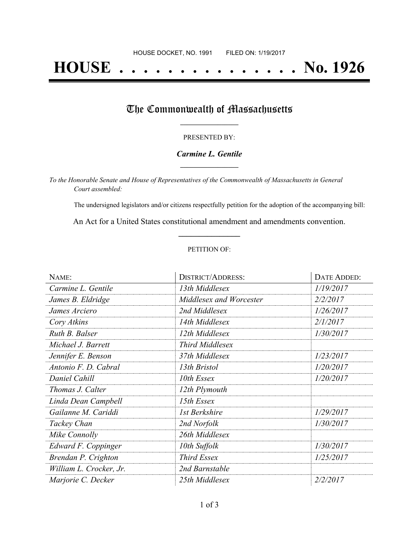# **HOUSE . . . . . . . . . . . . . . . No. 1926**

### The Commonwealth of Massachusetts

#### PRESENTED BY:

#### *Carmine L. Gentile* **\_\_\_\_\_\_\_\_\_\_\_\_\_\_\_\_\_**

*To the Honorable Senate and House of Representatives of the Commonwealth of Massachusetts in General Court assembled:*

The undersigned legislators and/or citizens respectfully petition for the adoption of the accompanying bill:

An Act for a United States constitutional amendment and amendments convention. **\_\_\_\_\_\_\_\_\_\_\_\_\_\_\_**

#### PETITION OF:

| NAME:                   | <b>DISTRICT/ADDRESS:</b> | DATE ADDED: |
|-------------------------|--------------------------|-------------|
| Carmine L. Gentile      | 13th Middlesex           | 1/19/2017   |
| James B. Eldridge       | Middlesex and Worcester  | 2/2/2017    |
| James Arciero           | 2nd Middlesex            | 1/26/2017   |
| Cory Atkins             | 14th Middlesex           | 2/1/2017    |
| Ruth B. Balser          | 12th Middlesex           | 1/30/2017   |
| Michael J. Barrett      | <b>Third Middlesex</b>   |             |
| Jennifer E. Benson      | 37th Middlesex           | 1/23/2017   |
| Antonio F. D. Cabral    | 13th Bristol             | 1/20/2017   |
| Daniel Cahill           | 10th Essex               | 1/20/2017   |
| Thomas J. Calter        | 12th Plymouth            |             |
| Linda Dean Campbell     | 15th Essex               |             |
| Gailanne M. Cariddi     | 1st Berkshire            | 1/29/2017   |
| Tackey Chan             | 2nd Norfolk              | 1/30/2017   |
| Mike Connolly           | 26th Middlesex           |             |
| Edward F. Coppinger     | 10th Suffolk             | 1/30/2017   |
| Brendan P. Crighton     | <b>Third Essex</b>       | 1/25/2017   |
| William L. Crocker, Jr. | 2nd Barnstable           |             |
| Marjorie C. Decker      | 25th Middlesex           | 2/2/2017    |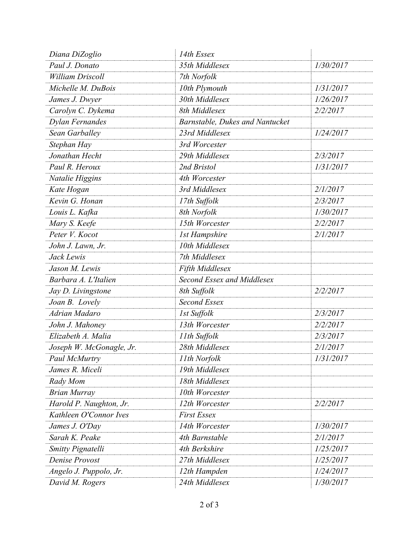| Diana DiZoglio           | 14th Essex                      |           |
|--------------------------|---------------------------------|-----------|
| Paul J. Donato           | 35th Middlesex                  | 1/30/2017 |
| <b>William Driscoll</b>  | 7th Norfolk                     |           |
| Michelle M. DuBois       | 10th Plymouth                   | 1/31/2017 |
| James J. Dwyer           | 30th Middlesex                  | 1/26/2017 |
| Carolyn C. Dykema        | 8th Middlesex                   | 2/2/2017  |
| <b>Dylan Fernandes</b>   | Barnstable, Dukes and Nantucket |           |
| Sean Garballey           | 23rd Middlesex                  | 1/24/2017 |
| Stephan Hay              | 3rd Worcester                   |           |
| Jonathan Hecht           | 29th Middlesex                  | 2/3/2017  |
| Paul R. Heroux           | 2nd Bristol                     | 1/31/2017 |
| Natalie Higgins          | 4th Worcester                   |           |
| Kate Hogan               | 3rd Middlesex                   | 2/1/2017  |
| Kevin G. Honan           | 17th Suffolk                    | 2/3/2017  |
| Louis L. Kafka           | 8th Norfolk                     | 1/30/2017 |
| Mary S. Keefe            | 15th Worcester                  | 2/2/2017  |
| Peter V. Kocot           | <b>1st Hampshire</b>            | 2/1/2017  |
| John J. Lawn, Jr.        | 10th Middlesex                  |           |
| Jack Lewis               | 7th Middlesex                   |           |
| Jason M. Lewis           | Fifth Middlesex                 |           |
| Barbara A. L'Italien     | Second Essex and Middlesex      |           |
| Jay D. Livingstone       | 8th Suffolk                     | 2/2/2017  |
| Joan B. Lovely           | <b>Second Essex</b>             |           |
| Adrian Madaro            | 1st Suffolk                     | 2/3/2017  |
| John J. Mahoney          | 13th Worcester                  | 2/2/2017  |
| Elizabeth A. Malia       | 11th Suffolk                    | 2/3/2017  |
| Joseph W. McGonagle, Jr. | 28th Middlesex                  | 2/1/2017  |
| Paul McMurtry            | 11th Norfolk                    | 1/31/2017 |
| James R. Miceli          | 19th Middlesex                  |           |
| Rady Mom                 | 18th Middlesex                  |           |
| <b>Brian Murray</b>      | 10th Worcester                  |           |
| Harold P. Naughton, Jr.  | 12th Worcester                  | 2/2/2017  |
| Kathleen O'Connor Ives   | <b>First Essex</b>              |           |
| James J. O'Day           | 14th Worcester                  | 1/30/2017 |
| Sarah K. Peake           | 4th Barnstable                  | 2/1/2017  |
| Smitty Pignatelli        | 4th Berkshire                   | 1/25/2017 |
| Denise Provost           | 27th Middlesex                  | 1/25/2017 |
| Angelo J. Puppolo, Jr.   | 12th Hampden                    | 1/24/2017 |
| David M. Rogers          | 24th Middlesex                  | 1/30/2017 |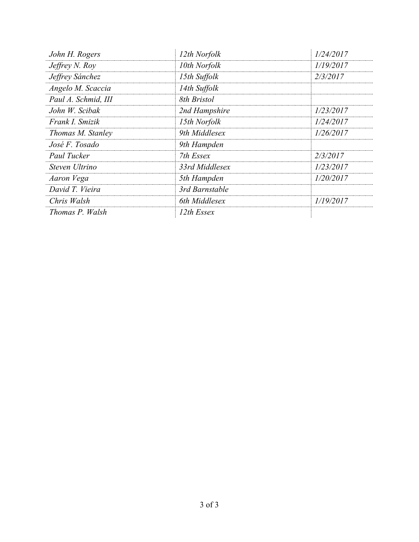| John H. Rogers      | 12th Norfolk   | 1/24/2017 |
|---------------------|----------------|-----------|
| Jeffrey N. Roy      | 10th Norfolk   | 1/19/2017 |
| Jeffrey Sánchez     | 15th Suffolk   | 2/3/2017  |
| Angelo M. Scaccia   | 14th Suffolk   |           |
| Paul A. Schmid, III | 8th Bristol    |           |
| John W. Scibak      | 2nd Hampshire  | 1/23/2017 |
| Frank I. Smizik     | 15th Norfolk   | 1/24/2017 |
| Thomas M. Stanley   | 9th Middlesex  | 1/26/2017 |
| José F. Tosado      | 9th Hampden    |           |
| Paul Tucker         | 7th Essex      | 2/3/2017  |
| Steven Ultrino      | 33rd Middlesex | 1/23/2017 |
| Aaron Vega          | 5th Hampden    | 1/20/2017 |
| David T. Vieira     | 3rd Barnstable |           |
| Chris Walsh         | 6th Middlesex  | 1/19/2017 |
| Thomas P. Walsh     | 12th Essex     |           |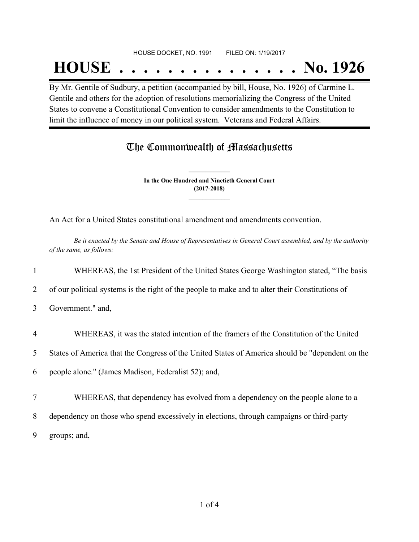## HOUSE DOCKET, NO. 1991 FILED ON: 1/19/2017

# **HOUSE . . . . . . . . . . . . . . . No. 1926**

By Mr. Gentile of Sudbury, a petition (accompanied by bill, House, No. 1926) of Carmine L. Gentile and others for the adoption of resolutions memorializing the Congress of the United States to convene a Constitutional Convention to consider amendments to the Constitution to limit the influence of money in our political system. Veterans and Federal Affairs.

### The Commonwealth of Massachusetts

**In the One Hundred and Ninetieth General Court (2017-2018) \_\_\_\_\_\_\_\_\_\_\_\_\_\_\_**

**\_\_\_\_\_\_\_\_\_\_\_\_\_\_\_**

An Act for a United States constitutional amendment and amendments convention.

Be it enacted by the Senate and House of Representatives in General Court assembled, and by the authority *of the same, as follows:*

1 WHEREAS, the 1st President of the United States George Washington stated, "The basis

- 2 of our political systems is the right of the people to make and to alter their Constitutions of
- 3 Government." and,
- 4 WHEREAS, it was the stated intention of the framers of the Constitution of the United

5 States of America that the Congress of the United States of America should be "dependent on the

6 people alone." (James Madison, Federalist 52); and,

- 7 WHEREAS, that dependency has evolved from a dependency on the people alone to a
- 8 dependency on those who spend excessively in elections, through campaigns or third-party

9 groups; and,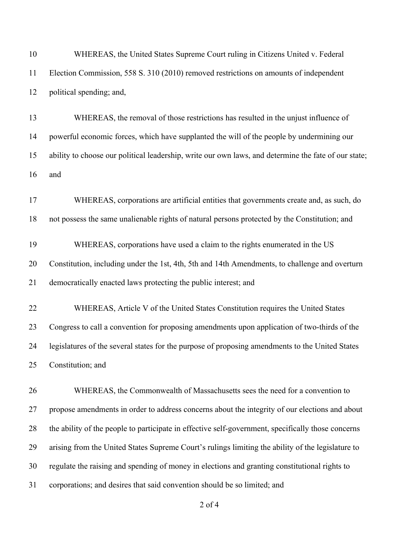| 10 | WHEREAS, the United States Supreme Court ruling in Citizens United v. Federal                        |
|----|------------------------------------------------------------------------------------------------------|
| 11 | Election Commission, 558 S. 310 (2010) removed restrictions on amounts of independent                |
| 12 | political spending; and,                                                                             |
| 13 | WHEREAS, the removal of those restrictions has resulted in the unjust influence of                   |
| 14 | powerful economic forces, which have supplanted the will of the people by undermining our            |
| 15 | ability to choose our political leadership, write our own laws, and determine the fate of our state; |
| 16 | and                                                                                                  |
| 17 | WHEREAS, corporations are artificial entities that governments create and, as such, do               |
| 18 | not possess the same unalienable rights of natural persons protected by the Constitution; and        |
| 19 | WHEREAS, corporations have used a claim to the rights enumerated in the US                           |
| 20 | Constitution, including under the 1st, 4th, 5th and 14th Amendments, to challenge and overturn       |
| 21 | democratically enacted laws protecting the public interest; and                                      |
| 22 | WHEREAS, Article V of the United States Constitution requires the United States                      |
| 23 | Congress to call a convention for proposing amendments upon application of two-thirds of the         |
| 24 | legislatures of the several states for the purpose of proposing amendments to the United States      |
| 25 | Constitution; and                                                                                    |
| 26 | WHEREAS, the Commonwealth of Massachusetts sees the need for a convention to                         |
| 27 | propose amendments in order to address concerns about the integrity of our elections and about       |
| 28 | the ability of the people to participate in effective self-government, specifically those concerns   |
| 29 | arising from the United States Supreme Court's rulings limiting the ability of the legislature to    |
| 30 | regulate the raising and spending of money in elections and granting constitutional rights to        |
| 31 | corporations; and desires that said convention should be so limited; and                             |
|    |                                                                                                      |

of 4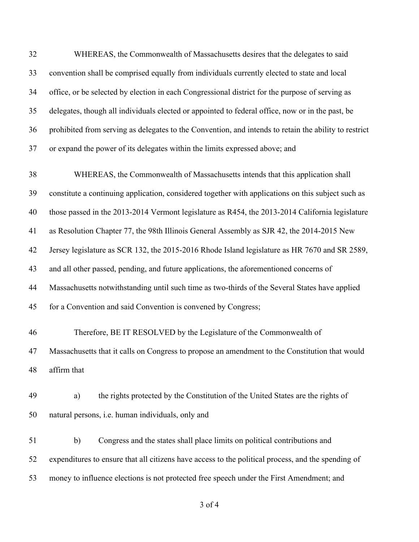| 32 | WHEREAS, the Commonwealth of Massachusetts desires that the delegates to said                         |
|----|-------------------------------------------------------------------------------------------------------|
| 33 | convention shall be comprised equally from individuals currently elected to state and local           |
| 34 | office, or be selected by election in each Congressional district for the purpose of serving as       |
| 35 | delegates, though all individuals elected or appointed to federal office, now or in the past, be      |
| 36 | prohibited from serving as delegates to the Convention, and intends to retain the ability to restrict |
| 37 | or expand the power of its delegates within the limits expressed above; and                           |
| 38 | WHEREAS, the Commonwealth of Massachusetts intends that this application shall                        |
| 39 | constitute a continuing application, considered together with applications on this subject such as    |
| 40 | those passed in the 2013-2014 Vermont legislature as R454, the 2013-2014 California legislature       |
| 41 | as Resolution Chapter 77, the 98th Illinois General Assembly as SJR 42, the 2014-2015 New             |
| 42 | Jersey legislature as SCR 132, the 2015-2016 Rhode Island legislature as HR 7670 and SR 2589,         |
| 43 | and all other passed, pending, and future applications, the aforementioned concerns of                |
| 44 | Massachusetts notwithstanding until such time as two-thirds of the Several States have applied        |
| 45 | for a Convention and said Convention is convened by Congress;                                         |
| 46 | Therefore, BE IT RESOLVED by the Legislature of the Commonwealth of                                   |
| 47 | Massachusetts that it calls on Congress to propose an amendment to the Constitution that would        |
| 48 | affirm that                                                                                           |
| 49 | the rights protected by the Constitution of the United States are the rights of<br>a)                 |
| 50 | natural persons, i.e. human individuals, only and                                                     |
| 51 | Congress and the states shall place limits on political contributions and<br>b)                       |
| 52 | expenditures to ensure that all citizens have access to the political process, and the spending of    |
| 53 | money to influence elections is not protected free speech under the First Amendment; and              |
|    |                                                                                                       |

of 4